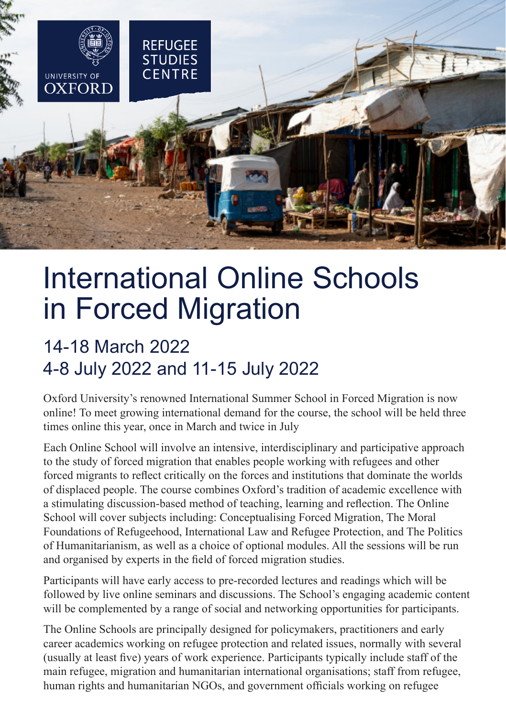

# International Online Schools in Forced Migration

## 14-18 March 2022 4-8 July 2022 and 11-15 July 2022

Oxford University's renowned International Summer School in Forced Migration is now online! To meet growing international demand for the course, the school will be held three times online this year, once in March and twice in July

Each Online School will involve an intensive, interdisciplinary and participative approach to the study of forced migration that enables people working with refugees and other forced migrants to reflect critically on the forces and institutions that dominate the worlds of displaced people. The course combines Oxford's tradition of academic excellence with a stimulating discussion-based method of teaching, learning and reflection. The Online School will cover subjects including: Conceptualising Forced Migration, The Moral Foundations of Refugeehood, International Law and Refugee Protection, and The Politics of Humanitarianism, as well as a choice of optional modules. All the sessions will be run and organised by experts in the field of forced migration studies.

Participants will have early access to pre-recorded lectures and readings which will be followed by live online seminars and discussions. The School's engaging academic content will be complemented by a range of social and networking opportunities for participants.

The Online Schools are principally designed for policymakers, practitioners and early career academics working on refugee protection and related issues, normally with several (usually at least five) years of work experience. Participants typically include staff of the main refugee, migration and humanitarian international organisations; staff from refugee, human rights and humanitarian NGOs, and government officials working on refugee